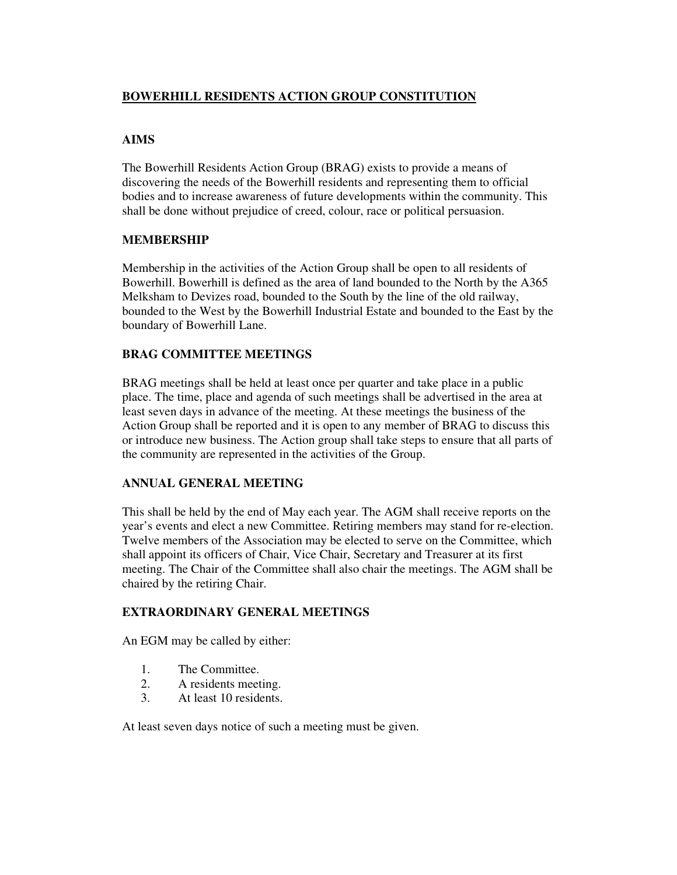## **BOWERHILL RESIDENTS ACTION GROUP CONSTITUTION**

# **AIMS**

The Bowerhill Residents Action Group (BRAG) exists to provide a means of discovering the needs of the Bowerhill residents and representing them to official bodies and to increase awareness of future developments within the community. This shall be done without prejudice of creed, colour, race or political persuasion.

#### **MEMBERSHIP**

Membership in the activities of the Action Group shall be open to all residents of Bowerhill. Bowerhill is defined as the area of land bounded to the North by the A365 Melksham to Devizes road, bounded to the South by the line of the old railway, bounded to the West by the Bowerhill Industrial Estate and bounded to the East by the boundary of Bowerhill Lane.

#### **BRAG COMMITTEE MEETINGS**

BRAG meetings shall be held at least once per quarter and take place in a public place. The time, place and agenda of such meetings shall be advertised in the area at least seven days in advance of the meeting. At these meetings the business of the Action Group shall be reported and it is open to any member of BRAG to discuss this or introduce new business. The Action group shall take steps to ensure that all parts of the community are represented in the activities of the Group.

#### **ANNUAL GENERAL MEETING**

This shall be held by the end of May each year. The AGM shall receive reports on the year's events and elect a new Committee. Retiring members may stand for re-election. Twelve members of the Association may be elected to serve on the Committee, which shall appoint its officers of Chair, Vice Chair, Secretary and Treasurer at its first meeting. The Chair of the Committee shall also chair the meetings. The AGM shall be chaired by the retiring Chair.

#### **EXTRAORDINARY GENERAL MEETINGS**

An EGM may be called by either:

- 1. The Committee.<br>2. A residents meet
- A residents meeting.
- 3. At least 10 residents.

At least seven days notice of such a meeting must be given.